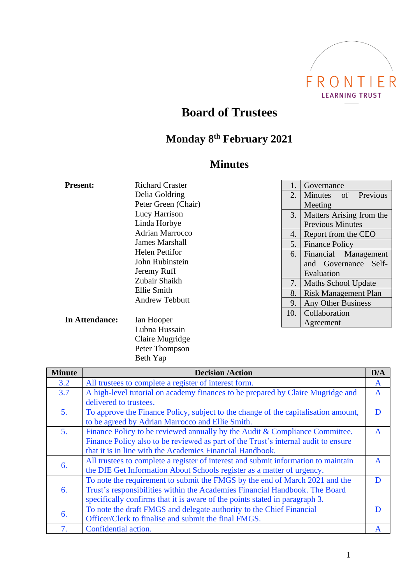

# **Board of Trustees**

### **Monday 8 th February 2021**

## **Minutes**

| <b>Present:</b>        | <b>Richard Craster</b> | 1.  | Governance                    |
|------------------------|------------------------|-----|-------------------------------|
|                        | Delia Goldring         | 2.  | of Previous<br><b>Minutes</b> |
|                        | Peter Green (Chair)    |     | Meeting                       |
|                        | Lucy Harrison          | 3.  | Matters Arising from the      |
|                        | Linda Horbye           |     | <b>Previous Minutes</b>       |
| <b>Adrian Marrocco</b> |                        | 4.  | Report from the CEO           |
|                        | <b>James Marshall</b>  |     | <b>Finance Policy</b>         |
|                        | <b>Helen Pettifor</b>  | 6.  | Financial<br>Management       |
| John Rubinstein        |                        |     | and Governance Self-          |
|                        | Jeremy Ruff            |     | Evaluation                    |
|                        | Zubair Shaikh          | 7.  | Maths School Update           |
|                        | Ellie Smith            | 8.  | <b>Risk Management Plan</b>   |
|                        | <b>Andrew Tebbutt</b>  | 9.  | Any Other Business            |
|                        | Ian Hooper             | 10. | Collaboration                 |
| In Attendance:         |                        |     | Agreement                     |

| Ian Hooper      |
|-----------------|
| Lubna Hussain   |
| Claire Mugridge |
| Peter Thompson  |
| Beth Yap        |
|                 |

| <b>Minute</b>  | <b>Decision /Action</b>                                                            | D/A          |  |  |
|----------------|------------------------------------------------------------------------------------|--------------|--|--|
| 3.2            | All trustees to complete a register of interest form.                              | A            |  |  |
| 3.7            | A high-level tutorial on academy finances to be prepared by Claire Mugridge and    |              |  |  |
|                | delivered to trustees.                                                             |              |  |  |
| 5.             | To approve the Finance Policy, subject to the change of the capitalisation amount, | D            |  |  |
|                | to be agreed by Adrian Marrocco and Ellie Smith.                                   |              |  |  |
| 5 <sub>1</sub> | Finance Policy to be reviewed annually by the Audit & Compliance Committee.        | $\mathbf{A}$ |  |  |
|                | Finance Policy also to be reviewed as part of the Trust's internal audit to ensure |              |  |  |
|                | that it is in line with the Academies Financial Handbook.                          |              |  |  |
| 6.             | All trustees to complete a register of interest and submit information to maintain | $\mathbf{A}$ |  |  |
|                | the DfE Get Information About Schools register as a matter of urgency.             |              |  |  |
| 6.             | To note the requirement to submit the FMGS by the end of March 2021 and the        | D            |  |  |
|                | Trust's responsibilities within the Academies Financial Handbook. The Board        |              |  |  |
|                | specifically confirms that it is aware of the points stated in paragraph 3.        |              |  |  |
| 6.             | To note the draft FMGS and delegate authority to the Chief Financial               | D            |  |  |
|                | Officer/Clerk to finalise and submit the final FMGS.                               |              |  |  |
| 7.             | Confidential action.                                                               | A            |  |  |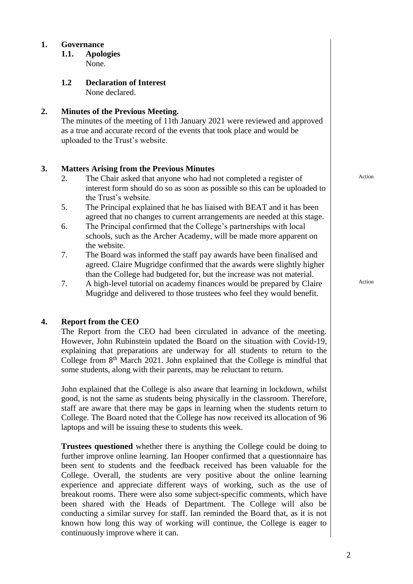#### **1. Governance**

- **1.1. Apologies** None.
- **1.2 Declaration of Interest** None declared.

#### **2. Minutes of the Previous Meeting.**

The minutes of the meeting of 11th January 2021 were reviewed and approved as a true and accurate record of the events that took place and would be uploaded to the Trust's website.

#### **3. Matters Arising from the Previous Minutes**

- 2. The Chair asked that anyone who had not completed a register of interest form should do so as soon as possible so this can be uploaded to the Trust's website.
- 5. The Principal explained that he has liaised with BEAT and it has been agreed that no changes to current arrangements are needed at this stage.
- 6. The Principal confirmed that the College's partnerships with local schools, such as the Archer Academy, will be made more apparent on the website.
- 7. The Board was informed the staff pay awards have been finalised and agreed. Claire Mugridge confirmed that the awards were slightly higher than the College had budgeted for, but the increase was not material.
- 7. A high-level tutorial on academy finances would be prepared by Claire Mugridge and delivered to those trustees who feel they would benefit.

#### **4. Report from the CEO**

The Report from the CEO had been circulated in advance of the meeting. However, John Rubinstein updated the Board on the situation with Covid-19, explaining that preparations are underway for all students to return to the College from 8<sup>th</sup> March 2021. John explained that the College is mindful that some students, along with their parents, may be reluctant to return.

John explained that the College is also aware that learning in lockdown, whilst good, is not the same as students being physically in the classroom. Therefore, staff are aware that there may be gaps in learning when the students return to College. The Board noted that the College has now received its allocation of 96 laptops and will be issuing these to students this week.

**Trustees questioned** whether there is anything the College could be doing to further improve online learning. Ian Hooper confirmed that a questionnaire has been sent to students and the feedback received has been valuable for the College. Overall, the students are very positive about the online learning experience and appreciate different ways of working, such as the use of breakout rooms. There were also some subject-specific comments, which have been shared with the Heads of Department. The College will also be conducting a similar survey for staff. Ian reminded the Board that, as it is not known how long this way of working will continue, the College is eager to continuously improve where it can.

Action

Action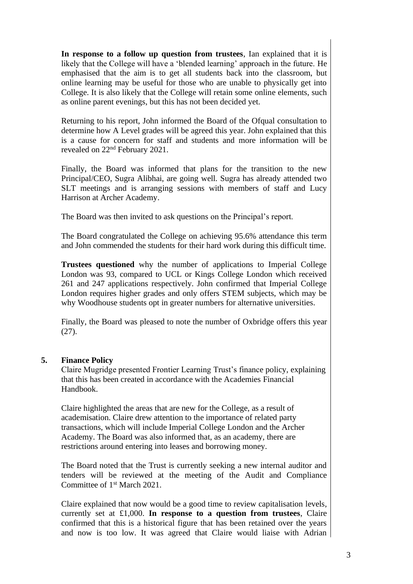**In response to a follow up question from trustees**, Ian explained that it is likely that the College will have a 'blended learning' approach in the future. He emphasised that the aim is to get all students back into the classroom, but online learning may be useful for those who are unable to physically get into College. It is also likely that the College will retain some online elements, such as online parent evenings, but this has not been decided yet.

Returning to his report, John informed the Board of the Ofqual consultation to determine how A Level grades will be agreed this year. John explained that this is a cause for concern for staff and students and more information will be revealed on 22nd February 2021.

Finally, the Board was informed that plans for the transition to the new Principal/CEO, Sugra Alibhai, are going well. Sugra has already attended two SLT meetings and is arranging sessions with members of staff and Lucy Harrison at Archer Academy.

The Board was then invited to ask questions on the Principal's report.

The Board congratulated the College on achieving 95.6% attendance this term and John commended the students for their hard work during this difficult time.

**Trustees questioned** why the number of applications to Imperial College London was 93, compared to UCL or Kings College London which received 261 and 247 applications respectively. John confirmed that Imperial College London requires higher grades and only offers STEM subjects, which may be why Woodhouse students opt in greater numbers for alternative universities.

Finally, the Board was pleased to note the number of Oxbridge offers this year (27).

#### **5. Finance Policy**

Claire Mugridge presented Frontier Learning Trust's finance policy, explaining that this has been created in accordance with the Academies Financial Handbook.

Claire highlighted the areas that are new for the College, as a result of academisation. Claire drew attention to the importance of related party transactions, which will include Imperial College London and the Archer Academy. The Board was also informed that, as an academy, there are restrictions around entering into leases and borrowing money.

The Board noted that the Trust is currently seeking a new internal auditor and tenders will be reviewed at the meeting of the Audit and Compliance Committee of 1<sup>st</sup> March 2021.

Claire explained that now would be a good time to review capitalisation levels, currently set at £1,000. **In response to a question from trustees**, Claire confirmed that this is a historical figure that has been retained over the years and now is too low. It was agreed that Claire would liaise with Adrian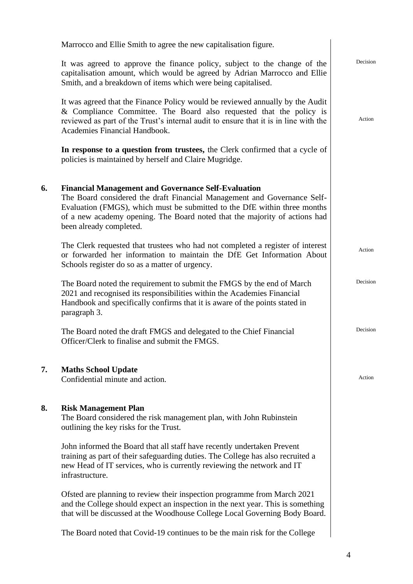|    | Marrocco and Ellie Smith to agree the new capitalisation figure.                                                                                                                                                                                                                                                             |          |
|----|------------------------------------------------------------------------------------------------------------------------------------------------------------------------------------------------------------------------------------------------------------------------------------------------------------------------------|----------|
|    | It was agreed to approve the finance policy, subject to the change of the<br>capitalisation amount, which would be agreed by Adrian Marrocco and Ellie<br>Smith, and a breakdown of items which were being capitalised.                                                                                                      | Decision |
|    | It was agreed that the Finance Policy would be reviewed annually by the Audit<br>& Compliance Committee. The Board also requested that the policy is<br>reviewed as part of the Trust's internal audit to ensure that it is in line with the<br>Academies Financial Handbook.                                                | Action   |
|    | In response to a question from trustees, the Clerk confirmed that a cycle of<br>policies is maintained by herself and Claire Mugridge.                                                                                                                                                                                       |          |
| 6. | <b>Financial Management and Governance Self-Evaluation</b><br>The Board considered the draft Financial Management and Governance Self-<br>Evaluation (FMGS), which must be submitted to the DfE within three months<br>of a new academy opening. The Board noted that the majority of actions had<br>been already completed. |          |
|    | The Clerk requested that trustees who had not completed a register of interest<br>or forwarded her information to maintain the DfE Get Information About<br>Schools register do so as a matter of urgency.                                                                                                                   | Action   |
|    | The Board noted the requirement to submit the FMGS by the end of March<br>2021 and recognised its responsibilities within the Academies Financial<br>Handbook and specifically confirms that it is aware of the points stated in<br>paragraph 3.                                                                             | Decision |
|    | The Board noted the draft FMGS and delegated to the Chief Financial<br>Officer/Clerk to finalise and submit the FMGS.                                                                                                                                                                                                        | Decision |
| 7. | <b>Maths School Update</b><br>Confidential minute and action.                                                                                                                                                                                                                                                                | Action   |
| 8. | <b>Risk Management Plan</b><br>The Board considered the risk management plan, with John Rubinstein<br>outlining the key risks for the Trust.                                                                                                                                                                                 |          |
|    | John informed the Board that all staff have recently undertaken Prevent<br>training as part of their safeguarding duties. The College has also recruited a<br>new Head of IT services, who is currently reviewing the network and IT<br>infrastructure.                                                                      |          |
|    | Ofsted are planning to review their inspection programme from March 2021<br>and the College should expect an inspection in the next year. This is something<br>that will be discussed at the Woodhouse College Local Governing Body Board.                                                                                   |          |
|    | The Board noted that Covid-19 continues to be the main risk for the College                                                                                                                                                                                                                                                  |          |